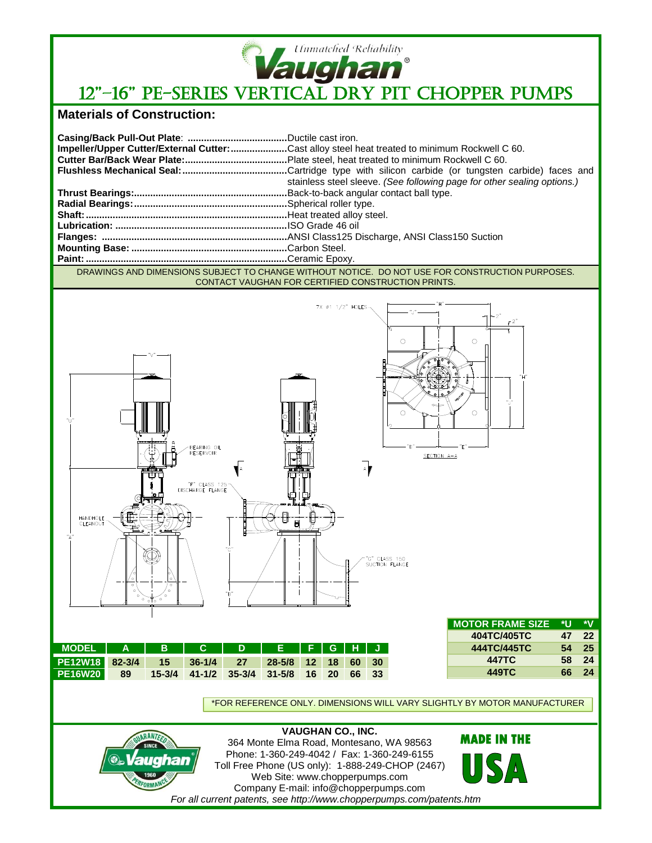

## **Vaughan**<br>12"-16" PE-SERIES VERTICAL DRY PIT CHOPPER PUMPS

## **Materials of Construction:**

|                                                                                                 | Impeller/Upper Cutter/External Cutter: Cast alloy steel heat treated to minimum Rockwell C 60. |
|-------------------------------------------------------------------------------------------------|------------------------------------------------------------------------------------------------|
|                                                                                                 |                                                                                                |
|                                                                                                 |                                                                                                |
|                                                                                                 | stainless steel sleeve. (See following page for other sealing options.)                        |
|                                                                                                 |                                                                                                |
|                                                                                                 |                                                                                                |
|                                                                                                 |                                                                                                |
|                                                                                                 |                                                                                                |
|                                                                                                 |                                                                                                |
|                                                                                                 |                                                                                                |
|                                                                                                 |                                                                                                |
| DRAWINGS AND DIMENSIONS SUBJECT TO CUANCE WITHOUT NOTICE. DO NOT HIST FOR CONSTRUCTION BURDOSES |                                                                                                |

DRAWINGS AND DIMENSIONS SUBJECT TO CHANGE WITHOUT NOTICE. DO NOT USE FOR CONSTRUCTION PURPOSES. CONTACT VAUGHAN FOR CERTIFIED CONSTRUCTION PRINTS.